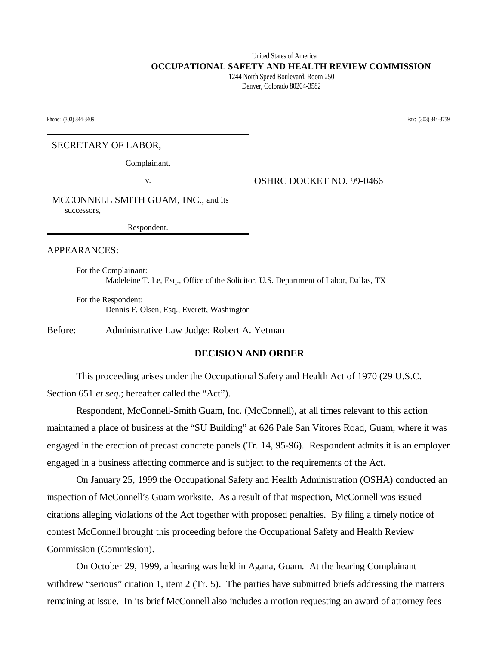## United States of America  **OCCUPATIONAL SAFETY AND HEALTH REVIEW COMMISSION**

 1244 North Speed Boulevard, Room 250 Denver, Colorado 80204-3582

Phone: (303) 844-3409 Fax: (303) 844-3759

#### SECRETARY OF LABOR,

Complainant,

v. Same **COVER COVER SET NO. 99-0466** 

MCCONNELL SMITH GUAM, INC., and its successors,

Respondent.

#### APPEARANCES:

For the Complainant: Madeleine T. Le, Esq., Office of the Solicitor, U.S. Department of Labor, Dallas, TX

For the Respondent: Dennis F. Olsen, Esq., Everett, Washington

Before: Administrative Law Judge: Robert A. Yetman

#### **DECISION AND ORDER**

This proceeding arises under the Occupational Safety and Health Act of 1970 (29 U.S.C. Section 651 *et seq.*; hereafter called the "Act").

Respondent, McConnell-Smith Guam, Inc. (McConnell), at all times relevant to this action maintained a place of business at the "SU Building" at 626 Pale San Vitores Road, Guam, where it was engaged in the erection of precast concrete panels (Tr. 14, 95-96). Respondent admits it is an employer engaged in a business affecting commerce and is subject to the requirements of the Act.

On January 25, 1999 the Occupational Safety and Health Administration (OSHA) conducted an inspection of McConnell's Guam worksite. As a result of that inspection, McConnell was issued citations alleging violations of the Act together with proposed penalties. By filing a timely notice of contest McConnell brought this proceeding before the Occupational Safety and Health Review Commission (Commission).

On October 29, 1999, a hearing was held in Agana, Guam. At the hearing Complainant withdrew "serious" citation 1, item 2 (Tr. 5). The parties have submitted briefs addressing the matters remaining at issue. In its brief McConnell also includes a motion requesting an award of attorney fees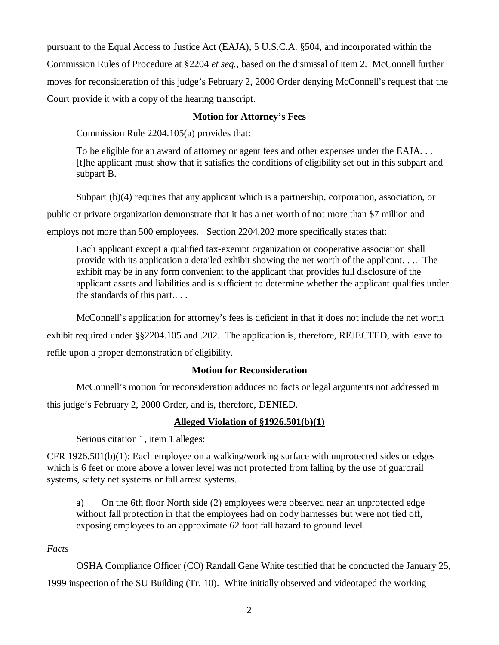pursuant to the Equal Access to Justice Act (EAJA), 5 U.S.C.A. §504, and incorporated within the Commission Rules of Procedure at §2204 *et seq.,* based on the dismissal of item 2. McConnell further moves for reconsideration of this judge's February 2, 2000 Order denying McConnell's request that the Court provide it with a copy of the hearing transcript.

## **Motion for Attorney's Fees**

Commission Rule 2204.105(a) provides that:

To be eligible for an award of attorney or agent fees and other expenses under the EAJA... [t]he applicant must show that it satisfies the conditions of eligibility set out in this subpart and subpart B.

Subpart (b)(4) requires that any applicant which is a partnership, corporation, association, or

public or private organization demonstrate that it has a net worth of not more than \$7 million and

employs not more than 500 employees. Section 2204.202 more specifically states that:

Each applicant except a qualified tax-exempt organization or cooperative association shall provide with its application a detailed exhibit showing the net worth of the applicant. . .. The exhibit may be in any form convenient to the applicant that provides full disclosure of the applicant assets and liabilities and is sufficient to determine whether the applicant qualifies under the standards of this part.. . .

McConnell's application for attorney's fees is deficient in that it does not include the net worth exhibit required under §§2204.105 and .202. The application is, therefore, REJECTED, with leave to refile upon a proper demonstration of eligibility.

# **Motion for Reconsideration**

McConnell's motion for reconsideration adduces no facts or legal arguments not addressed in this judge's February 2, 2000 Order, and is, therefore, DENIED.

# **Alleged Violation of §1926.501(b)(1)**

Serious citation 1, item 1 alleges:

CFR 1926.501(b)(1): Each employee on a walking/working surface with unprotected sides or edges which is 6 feet or more above a lower level was not protected from falling by the use of guardrail systems, safety net systems or fall arrest systems.

a) On the 6th floor North side (2) employees were observed near an unprotected edge without fall protection in that the employees had on body harnesses but were not tied off, exposing employees to an approximate 62 foot fall hazard to ground level.

# *Facts*

OSHA Compliance Officer (CO) Randall Gene White testified that he conducted the January 25, 1999 inspection of the SU Building (Tr. 10). White initially observed and videotaped the working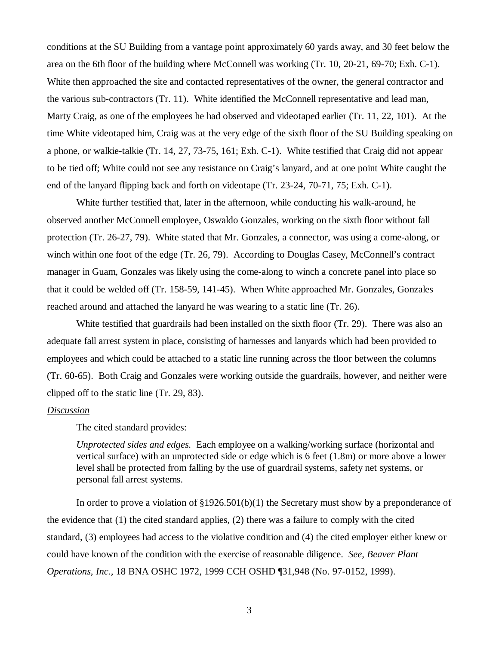conditions at the SU Building from a vantage point approximately 60 yards away, and 30 feet below the area on the 6th floor of the building where McConnell was working (Tr. 10, 20-21, 69-70; Exh. C-1). White then approached the site and contacted representatives of the owner, the general contractor and the various sub-contractors (Tr. 11). White identified the McConnell representative and lead man, Marty Craig, as one of the employees he had observed and videotaped earlier (Tr. 11, 22, 101). At the time White videotaped him, Craig was at the very edge of the sixth floor of the SU Building speaking on a phone, or walkie-talkie (Tr. 14, 27, 73-75, 161; Exh. C-1). White testified that Craig did not appear to be tied off; White could not see any resistance on Craig's lanyard, and at one point White caught the end of the lanyard flipping back and forth on videotape (Tr. 23-24, 70-71, 75; Exh. C-1).

White further testified that, later in the afternoon, while conducting his walk-around, he observed another McConnell employee, Oswaldo Gonzales, working on the sixth floor without fall protection (Tr. 26-27, 79). White stated that Mr. Gonzales, a connector, was using a come-along, or winch within one foot of the edge (Tr. 26, 79). According to Douglas Casey, McConnell's contract manager in Guam, Gonzales was likely using the come-along to winch a concrete panel into place so that it could be welded off (Tr. 158-59, 141-45). When White approached Mr. Gonzales, Gonzales reached around and attached the lanyard he was wearing to a static line (Tr. 26).

White testified that guardrails had been installed on the sixth floor (Tr. 29). There was also an adequate fall arrest system in place, consisting of harnesses and lanyards which had been provided to employees and which could be attached to a static line running across the floor between the columns (Tr. 60-65). Both Craig and Gonzales were working outside the guardrails, however, and neither were clipped off to the static line (Tr. 29, 83).

#### *Discussion*

The cited standard provides:

*Unprotected sides and edges.* Each employee on a walking/working surface (horizontal and vertical surface) with an unprotected side or edge which is 6 feet (1.8m) or more above a lower level shall be protected from falling by the use of guardrail systems, safety net systems, or personal fall arrest systems.

In order to prove a violation of  $\S 1926.501(b)(1)$  the Secretary must show by a preponderance of the evidence that (1) the cited standard applies, (2) there was a failure to comply with the cited standard, (3) employees had access to the violative condition and (4) the cited employer either knew or could have known of the condition with the exercise of reasonable diligence. *See, Beaver Plant Operations, Inc.,* 18 BNA OSHC 1972, 1999 CCH OSHD ¶31,948 (No. 97-0152, 1999).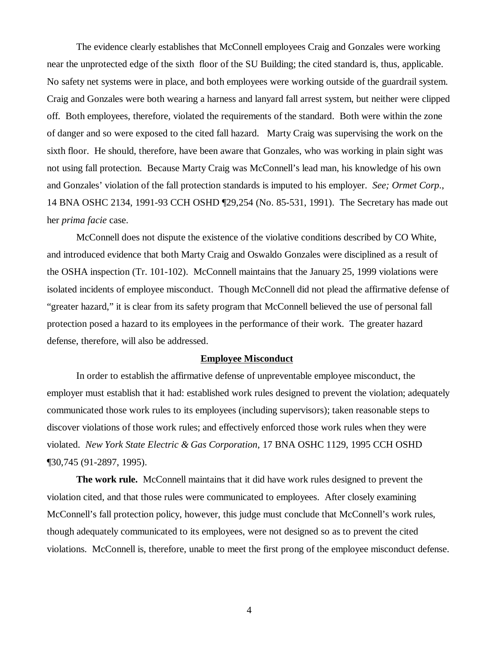The evidence clearly establishes that McConnell employees Craig and Gonzales were working near the unprotected edge of the sixth floor of the SU Building; the cited standard is, thus, applicable. No safety net systems were in place, and both employees were working outside of the guardrail system. Craig and Gonzales were both wearing a harness and lanyard fall arrest system, but neither were clipped off. Both employees, therefore, violated the requirements of the standard. Both were within the zone of danger and so were exposed to the cited fall hazard. Marty Craig was supervising the work on the sixth floor. He should, therefore, have been aware that Gonzales, who was working in plain sight was not using fall protection. Because Marty Craig was McConnell's lead man, his knowledge of his own and Gonzales' violation of the fall protection standards is imputed to his employer. *See; Ormet Corp*., 14 BNA OSHC 2134, 1991-93 CCH OSHD ¶29,254 (No. 85-531, 1991). The Secretary has made out her *prima facie* case.

McConnell does not dispute the existence of the violative conditions described by CO White, and introduced evidence that both Marty Craig and Oswaldo Gonzales were disciplined as a result of the OSHA inspection (Tr. 101-102). McConnell maintains that the January 25, 1999 violations were isolated incidents of employee misconduct. Though McConnell did not plead the affirmative defense of "greater hazard," it is clear from its safety program that McConnell believed the use of personal fall protection posed a hazard to its employees in the performance of their work. The greater hazard defense, therefore, will also be addressed.

#### **Employee Misconduct**

In order to establish the affirmative defense of unpreventable employee misconduct, the employer must establish that it had: established work rules designed to prevent the violation; adequately communicated those work rules to its employees (including supervisors); taken reasonable steps to discover violations of those work rules; and effectively enforced those work rules when they were violated. *New York State Electric & Gas Corporation*, 17 BNA OSHC 1129, 1995 CCH OSHD ¶30,745 (91-2897, 1995).

**The work rule.** McConnell maintains that it did have work rules designed to prevent the violation cited, and that those rules were communicated to employees. After closely examining McConnell's fall protection policy, however, this judge must conclude that McConnell's work rules, though adequately communicated to its employees, were not designed so as to prevent the cited violations. McConnell is, therefore, unable to meet the first prong of the employee misconduct defense.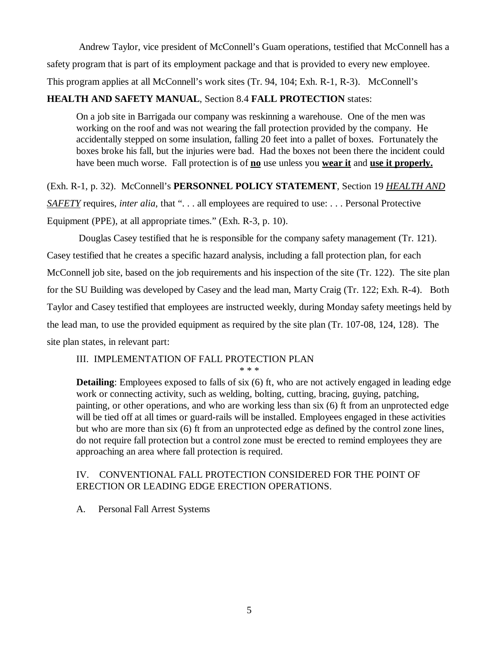Andrew Taylor, vice president of McConnell's Guam operations, testified that McConnell has a safety program that is part of its employment package and that is provided to every new employee. This program applies at all McConnell's work sites (Tr. 94, 104; Exh. R-1, R-3). McConnell's

## **HEALTH AND SAFETY MANUAL**, Section 8.4 **FALL PROTECTION** states:

On a job site in Barrigada our company was reskinning a warehouse. One of the men was working on the roof and was not wearing the fall protection provided by the company. He accidentally stepped on some insulation, falling 20 feet into a pallet of boxes. Fortunately the boxes broke his fall, but the injuries were bad. Had the boxes not been there the incident could have been much worse. Fall protection is of **no** use unless you **wear it** and **use it properly.**

(Exh. R-1, p. 32). McConnell's **PERSONNEL POLICY STATEMENT**, Section 19 *HEALTH AND SAFETY* requires, *inter alia*, that ". . . all employees are required to use: . . . Personal Protective Equipment (PPE), at all appropriate times." (Exh. R-3, p. 10).

 Douglas Casey testified that he is responsible for the company safety management (Tr. 121). Casey testified that he creates a specific hazard analysis, including a fall protection plan, for each McConnell job site, based on the job requirements and his inspection of the site (Tr. 122). The site plan for the SU Building was developed by Casey and the lead man, Marty Craig (Tr. 122; Exh. R-4). Both Taylor and Casey testified that employees are instructed weekly, during Monday safety meetings held by the lead man, to use the provided equipment as required by the site plan (Tr. 107-08, 124, 128). The site plan states, in relevant part:

## III. IMPLEMENTATION OF FALL PROTECTION PLAN

\* \* \*

**Detailing**: Employees exposed to falls of six (6) ft, who are not actively engaged in leading edge work or connecting activity, such as welding, bolting, cutting, bracing, guying, patching, painting, or other operations, and who are working less than six (6) ft from an unprotected edge will be tied off at all times or guard-rails will be installed. Employees engaged in these activities but who are more than six (6) ft from an unprotected edge as defined by the control zone lines, do not require fall protection but a control zone must be erected to remind employees they are approaching an area where fall protection is required.

## IV. CONVENTIONAL FALL PROTECTION CONSIDERED FOR THE POINT OF ERECTION OR LEADING EDGE ERECTION OPERATIONS.

A. Personal Fall Arrest Systems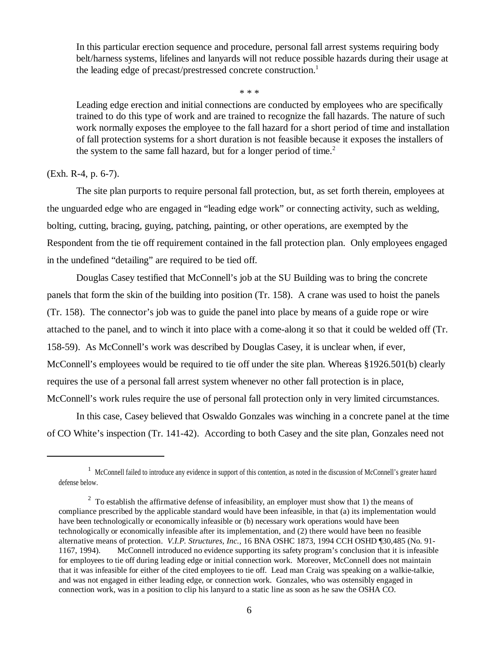In this particular erection sequence and procedure, personal fall arrest systems requiring body belt/harness systems, lifelines and lanyards will not reduce possible hazards during their usage at the leading edge of precast/prestressed concrete construction.<sup>1</sup>

\* \* \*

Leading edge erection and initial connections are conducted by employees who are specifically trained to do this type of work and are trained to recognize the fall hazards. The nature of such work normally exposes the employee to the fall hazard for a short period of time and installation of fall protection systems for a short duration is not feasible because it exposes the installers of the system to the same fall hazard, but for a longer period of time.<sup>2</sup>

### (Exh. R-4, p. 6-7).

The site plan purports to require personal fall protection, but, as set forth therein, employees at the unguarded edge who are engaged in "leading edge work" or connecting activity, such as welding, bolting, cutting, bracing, guying, patching, painting, or other operations, are exempted by the Respondent from the tie off requirement contained in the fall protection plan. Only employees engaged in the undefined "detailing" are required to be tied off.

Douglas Casey testified that McConnell's job at the SU Building was to bring the concrete panels that form the skin of the building into position (Tr. 158). A crane was used to hoist the panels (Tr. 158). The connector's job was to guide the panel into place by means of a guide rope or wire attached to the panel, and to winch it into place with a come-along it so that it could be welded off (Tr. 158-59). As McConnell's work was described by Douglas Casey, it is unclear when, if ever, McConnell's employees would be required to tie off under the site plan. Whereas §1926.501(b) clearly requires the use of a personal fall arrest system whenever no other fall protection is in place, McConnell's work rules require the use of personal fall protection only in very limited circumstances.

 In this case, Casey believed that Oswaldo Gonzales was winching in a concrete panel at the time of CO White's inspection (Tr. 141-42). According to both Casey and the site plan, Gonzales need not

<sup>&</sup>lt;sup>1</sup> McConnell failed to introduce any evidence in support of this contention, as noted in the discussion of McConnell's greater hazard defense below.

<sup>&</sup>lt;sup>2</sup> To establish the affirmative defense of infeasibility, an employer must show that 1) the means of compliance prescribed by the applicable standard would have been infeasible, in that (a) its implementation would have been technologically or economically infeasible or (b) necessary work operations would have been technologically or economically infeasible after its implementation, and (2) there would have been no feasible alternative means of protection. *V.I.P. Structures, Inc.,* 16 BNA OSHC 1873, 1994 CCH OSHD ¶30,485 (No. 91- 1167, 1994). McConnell introduced no evidence supporting its safety program's conclusion that it is infeasible for employees to tie off during leading edge or initial connection work. Moreover, McConnell does not maintain that it was infeasible for either of the cited employees to tie off. Lead man Craig was speaking on a walkie-talkie, and was not engaged in either leading edge, or connection work. Gonzales, who was ostensibly engaged in connection work, was in a position to clip his lanyard to a static line as soon as he saw the OSHA CO.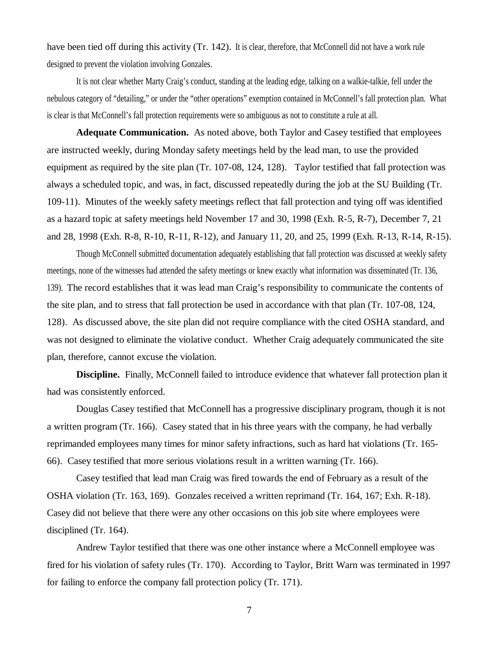have been tied off during this activity (Tr. 142). It is clear, therefore, that McConnell did not have a work rule designed to prevent the violation involving Gonzales.

It is not clear whether Marty Craig's conduct, standing at the leading edge, talking on a walkie-talkie, fell under the nebulous category of "detailing," or under the "other operations" exemption contained in McConnell's fall protection plan. What is clear is that McConnell's fall protection requirements were so ambiguous as not to constitute a rule at all.

**Adequate Communication.** As noted above, both Taylor and Casey testified that employees are instructed weekly, during Monday safety meetings held by the lead man, to use the provided equipment as required by the site plan (Tr. 107-08, 124, 128). Taylor testified that fall protection was always a scheduled topic, and was, in fact, discussed repeatedly during the job at the SU Building (Tr. 109-11). Minutes of the weekly safety meetings reflect that fall protection and tying off was identified as a hazard topic at safety meetings held November 17 and 30, 1998 (Exh. R-5, R-7), December 7, 21 and 28, 1998 (Exh. R-8, R-10, R-11, R-12), and January 11, 20, and 25, 1999 (Exh. R-13, R-14, R-15).

Though McConnell submitted documentation adequately establishing that fall protection was discussed at weekly safety meetings, none of the witnesses had attended the safety meetings or knew exactly what information was disseminated (Tr. 136, 139). The record establishes that it was lead man Craig's responsibility to communicate the contents of the site plan, and to stress that fall protection be used in accordance with that plan (Tr. 107-08, 124, 128). As discussed above, the site plan did not require compliance with the cited OSHA standard, and was not designed to eliminate the violative conduct. Whether Craig adequately communicated the site plan, therefore, cannot excuse the violation.

**Discipline.** Finally, McConnell failed to introduce evidence that whatever fall protection plan it had was consistently enforced.

Douglas Casey testified that McConnell has a progressive disciplinary program, though it is not a written program (Tr. 166). Casey stated that in his three years with the company, he had verbally reprimanded employees many times for minor safety infractions, such as hard hat violations (Tr. 165- 66). Casey testified that more serious violations result in a written warning (Tr. 166).

Casey testified that lead man Craig was fired towards the end of February as a result of the OSHA violation (Tr. 163, 169). Gonzales received a written reprimand (Tr. 164, 167; Exh. R-18). Casey did not believe that there were any other occasions on this job site where employees were disciplined (Tr. 164).

Andrew Taylor testified that there was one other instance where a McConnell employee was fired for his violation of safety rules (Tr. 170). According to Taylor, Britt Warn was terminated in 1997 for failing to enforce the company fall protection policy (Tr. 171).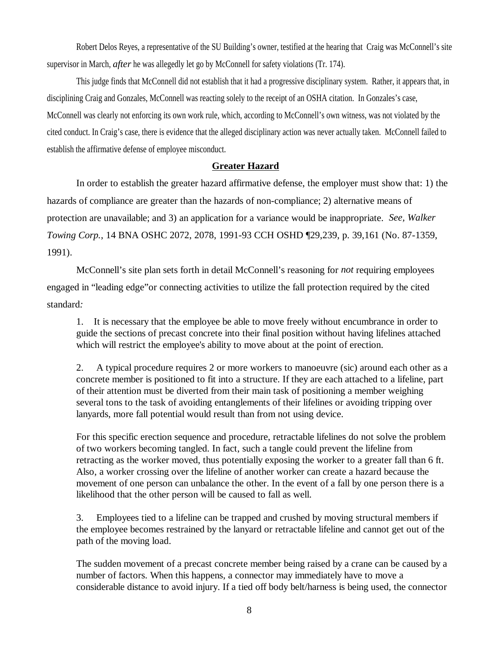Robert Delos Reyes, a representative of the SU Building's owner, testified at the hearing that Craig was McConnell's site supervisor in March, *after* he was allegedly let go by McConnell for safety violations (Tr. 174).

This judge finds that McConnell did not establish that it had a progressive disciplinary system. Rather, it appears that, in disciplining Craig and Gonzales, McConnell was reacting solely to the receipt of an OSHA citation. In Gonzales's case, McConnell was clearly not enforcing its own work rule, which, according to McConnell's own witness, was not violated by the cited conduct. In Craig's case, there is evidence that the alleged disciplinary action was never actually taken. McConnell failed to establish the affirmative defense of employee misconduct.

## **Greater Hazard**

In order to establish the greater hazard affirmative defense, the employer must show that: 1) the hazards of compliance are greater than the hazards of non-compliance; 2) alternative means of protection are unavailable; and 3) an application for a variance would be inappropriate. *See, Walker Towing Corp.*, 14 BNA OSHC 2072, 2078, 1991-93 CCH OSHD ¶29,239, p. 39,161 (No. 87-1359, 1991).

 McConnell's site plan sets forth in detail McConnell's reasoning for *not* requiring employees engaged in "leading edge"or connecting activities to utilize the fall protection required by the cited standard*:*

1. It is necessary that the employee be able to move freely without encumbrance in order to guide the sections of precast concrete into their final position without having lifelines attached which will restrict the employee's ability to move about at the point of erection.

2. A typical procedure requires 2 or more workers to manoeuvre (sic) around each other as a concrete member is positioned to fit into a structure. If they are each attached to a lifeline, part of their attention must be diverted from their main task of positioning a member weighing several tons to the task of avoiding entanglements of their lifelines or avoiding tripping over lanyards, more fall potential would result than from not using device.

For this specific erection sequence and procedure, retractable lifelines do not solve the problem of two workers becoming tangled. In fact, such a tangle could prevent the lifeline from retracting as the worker moved, thus potentially exposing the worker to a greater fall than 6 ft. Also, a worker crossing over the lifeline of another worker can create a hazard because the movement of one person can unbalance the other. In the event of a fall by one person there is a likelihood that the other person will be caused to fall as well.

3. Employees tied to a lifeline can be trapped and crushed by moving structural members if the employee becomes restrained by the lanyard or retractable lifeline and cannot get out of the path of the moving load.

The sudden movement of a precast concrete member being raised by a crane can be caused by a number of factors. When this happens, a connector may immediately have to move a considerable distance to avoid injury. If a tied off body belt/harness is being used, the connector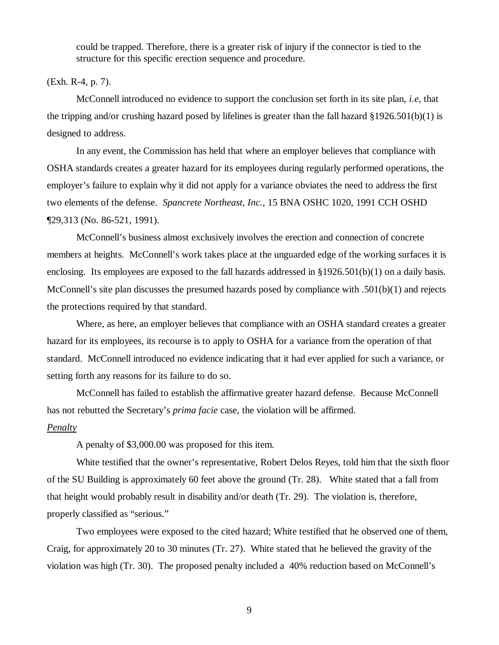could be trapped. Therefore, there is a greater risk of injury if the connector is tied to the structure for this specific erection sequence and procedure.

#### (Exh. R-4, p. 7).

McConnell introduced no evidence to support the conclusion set forth in its site plan, *i.e*, that the tripping and/or crushing hazard posed by lifelines is greater than the fall hazard  $\S1926.501(b)(1)$  is designed to address.

In any event, the Commission has held that where an employer believes that compliance with OSHA standards creates a greater hazard for its employees during regularly performed operations, the employer's failure to explain why it did not apply for a variance obviates the need to address the first two elements of the defense. *Spancrete Northeast, Inc.*, 15 BNA OSHC 1020, 1991 CCH OSHD ¶29,313 (No. 86-521, 1991).

McConnell's business almost exclusively involves the erection and connection of concrete members at heights. McConnell's work takes place at the unguarded edge of the working surfaces it is enclosing. Its employees are exposed to the fall hazards addressed in  $\S 1926.501(b)(1)$  on a daily basis. McConnell's site plan discusses the presumed hazards posed by compliance with .501(b)(1) and rejects the protections required by that standard.

Where, as here, an employer believes that compliance with an OSHA standard creates a greater hazard for its employees, its recourse is to apply to OSHA for a variance from the operation of that standard. McConnell introduced no evidence indicating that it had ever applied for such a variance, or setting forth any reasons for its failure to do so.

McConnell has failed to establish the affirmative greater hazard defense. Because McConnell has not rebutted the Secretary's *prima facie* case, the violation will be affirmed. *Penalty*

A penalty of \$3,000.00 was proposed for this item.

White testified that the owner's representative, Robert Delos Reyes, told him that the sixth floor of the SU Building is approximately 60 feet above the ground (Tr. 28). White stated that a fall from that height would probably result in disability and/or death (Tr. 29). The violation is, therefore, properly classified as "serious."

Two employees were exposed to the cited hazard; White testified that he observed one of them, Craig, for approximately 20 to 30 minutes (Tr. 27). White stated that he believed the gravity of the violation was high (Tr. 30). The proposed penalty included a 40% reduction based on McConnell's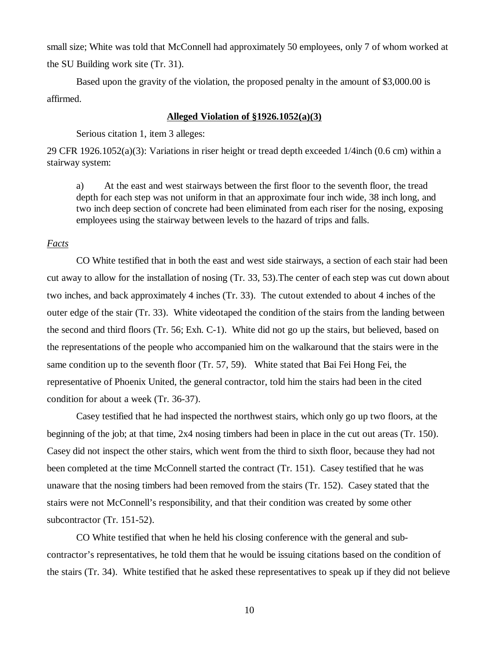small size; White was told that McConnell had approximately 50 employees, only 7 of whom worked at the SU Building work site (Tr. 31).

Based upon the gravity of the violation, the proposed penalty in the amount of \$3,000.00 is affirmed.

#### **Alleged Violation of §1926.1052(a)(3)**

Serious citation 1, item 3 alleges:

29 CFR 1926.1052(a)(3): Variations in riser height or tread depth exceeded 1/4inch (0.6 cm) within a stairway system:

a) At the east and west stairways between the first floor to the seventh floor, the tread depth for each step was not uniform in that an approximate four inch wide, 38 inch long, and two inch deep section of concrete had been eliminated from each riser for the nosing, exposing employees using the stairway between levels to the hazard of trips and falls.

### *Facts*

 CO White testified that in both the east and west side stairways, a section of each stair had been cut away to allow for the installation of nosing (Tr. 33, 53).The center of each step was cut down about two inches, and back approximately 4 inches (Tr. 33). The cutout extended to about 4 inches of the outer edge of the stair (Tr. 33). White videotaped the condition of the stairs from the landing between the second and third floors (Tr. 56; Exh. C-1). White did not go up the stairs, but believed, based on the representations of the people who accompanied him on the walkaround that the stairs were in the same condition up to the seventh floor (Tr. 57, 59). White stated that Bai Fei Hong Fei, the representative of Phoenix United, the general contractor, told him the stairs had been in the cited condition for about a week (Tr. 36-37).

Casey testified that he had inspected the northwest stairs, which only go up two floors, at the beginning of the job; at that time, 2x4 nosing timbers had been in place in the cut out areas (Tr. 150). Casey did not inspect the other stairs, which went from the third to sixth floor, because they had not been completed at the time McConnell started the contract (Tr. 151). Casey testified that he was unaware that the nosing timbers had been removed from the stairs (Tr. 152). Casey stated that the stairs were not McConnell's responsibility, and that their condition was created by some other subcontractor (Tr. 151-52).

CO White testified that when he held his closing conference with the general and subcontractor's representatives, he told them that he would be issuing citations based on the condition of the stairs (Tr. 34). White testified that he asked these representatives to speak up if they did not believe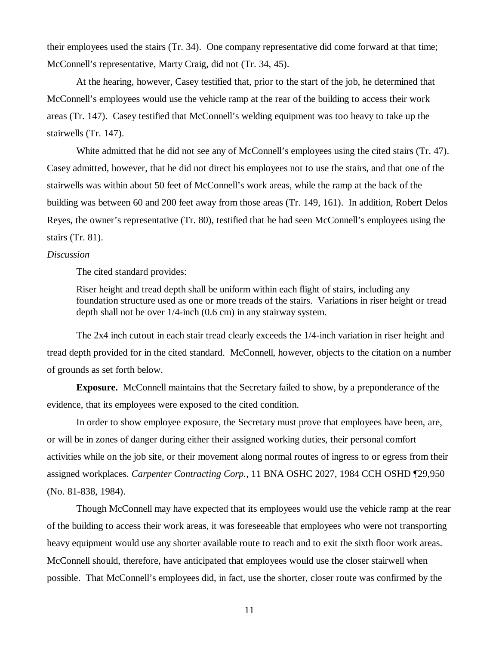their employees used the stairs (Tr. 34). One company representative did come forward at that time; McConnell's representative, Marty Craig, did not (Tr. 34, 45).

At the hearing, however, Casey testified that, prior to the start of the job, he determined that McConnell's employees would use the vehicle ramp at the rear of the building to access their work areas (Tr. 147). Casey testified that McConnell's welding equipment was too heavy to take up the stairwells (Tr. 147).

White admitted that he did not see any of McConnell's employees using the cited stairs (Tr. 47). Casey admitted, however, that he did not direct his employees not to use the stairs, and that one of the stairwells was within about 50 feet of McConnell's work areas, while the ramp at the back of the building was between 60 and 200 feet away from those areas (Tr. 149, 161). In addition, Robert Delos Reyes, the owner's representative (Tr. 80), testified that he had seen McConnell's employees using the stairs (Tr. 81).

#### *Discussion*

The cited standard provides:

Riser height and tread depth shall be uniform within each flight of stairs, including any foundation structure used as one or more treads of the stairs. Variations in riser height or tread depth shall not be over 1/4-inch (0.6 cm) in any stairway system.

The 2x4 inch cutout in each stair tread clearly exceeds the 1/4-inch variation in riser height and tread depth provided for in the cited standard. McConnell, however, objects to the citation on a number of grounds as set forth below.

**Exposure.** McConnell maintains that the Secretary failed to show, by a preponderance of the evidence, that its employees were exposed to the cited condition.

In order to show employee exposure, the Secretary must prove that employees have been, are, or will be in zones of danger during either their assigned working duties, their personal comfort activities while on the job site, or their movement along normal routes of ingress to or egress from their assigned workplaces. *Carpenter Contracting Corp.,* 11 BNA OSHC 2027, 1984 CCH OSHD ¶29,950 (No. 81-838, 1984).

Though McConnell may have expected that its employees would use the vehicle ramp at the rear of the building to access their work areas, it was foreseeable that employees who were not transporting heavy equipment would use any shorter available route to reach and to exit the sixth floor work areas. McConnell should, therefore, have anticipated that employees would use the closer stairwell when possible. That McConnell's employees did, in fact, use the shorter, closer route was confirmed by the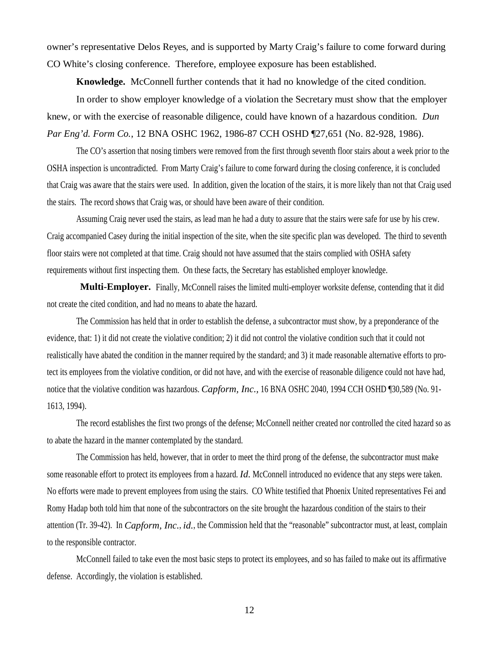owner's representative Delos Reyes, and is supported by Marty Craig's failure to come forward during CO White's closing conference. Therefore, employee exposure has been established.

**Knowledge.** McConnell further contends that it had no knowledge of the cited condition.

 In order to show employer knowledge of a violation the Secretary must show that the employer knew, or with the exercise of reasonable diligence, could have known of a hazardous condition. *Dun Par Eng'd. Form Co.*, 12 BNA OSHC 1962, 1986-87 CCH OSHD ¶27,651 (No. 82-928, 1986).

The CO's assertion that nosing timbers were removed from the first through seventh floor stairs about a week prior to the OSHA inspection is uncontradicted. From Marty Craig's failure to come forward during the closing conference, it is concluded that Craig was aware that the stairs were used. In addition, given the location of the stairs, it is more likely than not that Craig used the stairs. The record shows that Craig was, or should have been aware of their condition.

Assuming Craig never used the stairs, as lead man he had a duty to assure that the stairs were safe for use by his crew. Craig accompanied Casey during the initial inspection of the site, when the site specific plan was developed. The third to seventh floor stairs were not completed at that time. Craig should not have assumed that the stairs complied with OSHA safety requirements without first inspecting them. On these facts, the Secretary has established employer knowledge.

 **Multi-Employer.** Finally, McConnell raises the limited multi-employer worksite defense, contending that it did not create the cited condition, and had no means to abate the hazard.

The Commission has held that in order to establish the defense, a subcontractor must show, by a preponderance of the evidence, that: 1) it did not create the violative condition; 2) it did not control the violative condition such that it could not realistically have abated the condition in the manner required by the standard; and 3) it made reasonable alternative efforts to protect its employees from the violative condition, or did not have, and with the exercise of reasonable diligence could not have had, notice that the violative condition was hazardous. *Capform, Inc.,* 16 BNA OSHC 2040, 1994 CCH OSHD ¶30,589 (No. 91- 1613, 1994).

The record establishes the first two prongs of the defense; McConnell neither created nor controlled the cited hazard so as to abate the hazard in the manner contemplated by the standard.

The Commission has held, however, that in order to meet the third prong of the defense, the subcontractor must make some reasonable effort to protect its employees from a hazard. *Id.* McConnell introduced no evidence that any steps were taken. No efforts were made to prevent employees from using the stairs. CO White testified that Phoenix United representatives Fei and Romy Hadap both told him that none of the subcontractors on the site brought the hazardous condition of the stairs to their attention (Tr. 39-42). In *Capform, Inc.*, *id.*, the Commission held that the "reasonable" subcontractor must, at least, complain to the responsible contractor.

McConnell failed to take even the most basic steps to protect its employees, and so has failed to make out its affirmative defense. Accordingly, the violation is established.